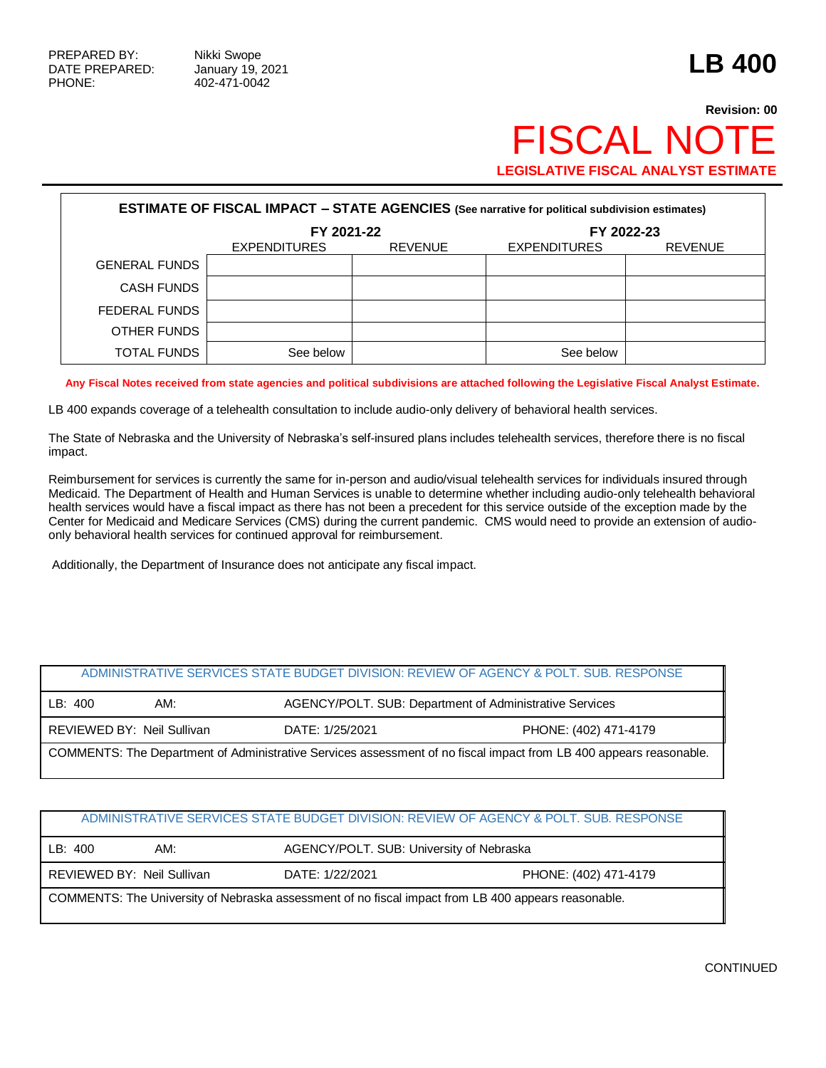## **Revision: 00 FISCAL NO LEGISLATIVE FISCAL ANALYST ESTIMATE**

| <b>ESTIMATE OF FISCAL IMPACT - STATE AGENCIES (See narrative for political subdivision estimates)</b> |                     |                |                     |                |  |  |  |  |
|-------------------------------------------------------------------------------------------------------|---------------------|----------------|---------------------|----------------|--|--|--|--|
|                                                                                                       | FY 2021-22          |                | FY 2022-23          |                |  |  |  |  |
|                                                                                                       | <b>EXPENDITURES</b> | <b>REVENUE</b> | <b>EXPENDITURES</b> | <b>REVENUE</b> |  |  |  |  |
| <b>GENERAL FUNDS</b>                                                                                  |                     |                |                     |                |  |  |  |  |
| <b>CASH FUNDS</b>                                                                                     |                     |                |                     |                |  |  |  |  |
| FEDERAL FUNDS                                                                                         |                     |                |                     |                |  |  |  |  |
| OTHER FUNDS                                                                                           |                     |                |                     |                |  |  |  |  |
| TOTAL FUNDS                                                                                           | See below           |                | See below           |                |  |  |  |  |

**Any Fiscal Notes received from state agencies and political subdivisions are attached following the Legislative Fiscal Analyst Estimate.**

LB 400 expands coverage of a telehealth consultation to include audio-only delivery of behavioral health services.

The State of Nebraska and the University of Nebraska's self-insured plans includes telehealth services, therefore there is no fiscal impact.

Reimbursement for services is currently the same for in-person and audio/visual telehealth services for individuals insured through Medicaid. The Department of Health and Human Services is unable to determine whether including audio-only telehealth behavioral health services would have a fiscal impact as there has not been a precedent for this service outside of the exception made by the Center for Medicaid and Medicare Services (CMS) during the current pandemic. CMS would need to provide an extension of audioonly behavioral health services for continued approval for reimbursement.

Additionally, the Department of Insurance does not anticipate any fiscal impact.

# ADMINISTRATIVE SERVICES STATE BUDGET DIVISION: REVIEW OF AGENCY & POLT. SUB. RESPONSE LB: 400 AM: AGENCY/POLT. SUB: Department of Administrative Services REVIEWED BY: Neil Sullivan DATE: 1/25/2021 PHONE: (402) 471-4179 COMMENTS: The Department of Administrative Services assessment of no fiscal impact from LB 400 appears reasonable.

#### ADMINISTRATIVE SERVICES STATE BUDGET DIVISION: REVIEW OF AGENCY & POLT. SUB. RESPONSE

| LB: 400                                                                                             | AM:                        |                 | AGENCY/POLT. SUB: University of Nebraska |  |  |
|-----------------------------------------------------------------------------------------------------|----------------------------|-----------------|------------------------------------------|--|--|
|                                                                                                     | REVIEWED BY: Neil Sullivan | DATE: 1/22/2021 | PHONE: (402) 471-4179                    |  |  |
| COMMENTS: The University of Nebraska assessment of no fiscal impact from LB 400 appears reasonable. |                            |                 |                                          |  |  |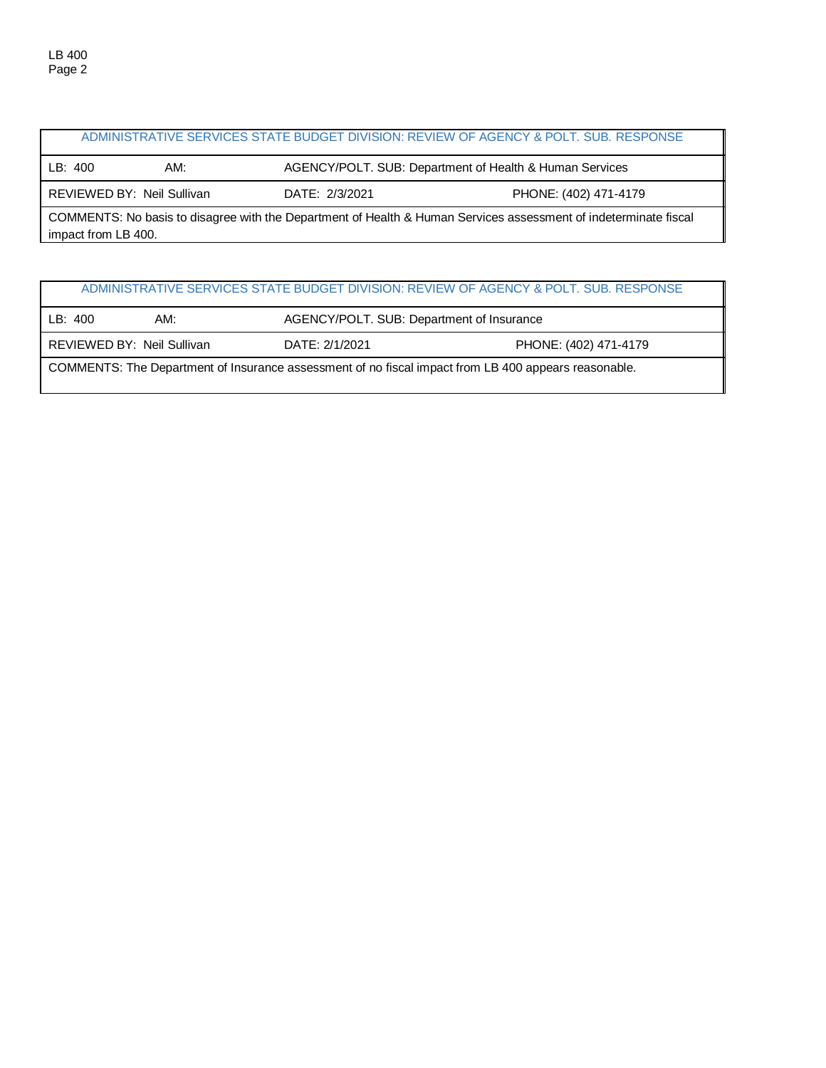|                                                                                                                                         |     |                | ADMINISTRATIVE SERVICES STATE BUDGET DIVISION: REVIEW OF AGENCY & POLT, SUB, RESPONSE |  |  |
|-----------------------------------------------------------------------------------------------------------------------------------------|-----|----------------|---------------------------------------------------------------------------------------|--|--|
| LB: 400                                                                                                                                 | AM: |                | AGENCY/POLT. SUB: Department of Health & Human Services                               |  |  |
| REVIEWED BY: Neil Sullivan                                                                                                              |     | DATE: 2/3/2021 | PHONE: (402) 471-4179                                                                 |  |  |
| COMMENTS: No basis to disagree with the Department of Health & Human Services assessment of indeterminate fiscal<br>impact from LB 400. |     |                |                                                                                       |  |  |

|                                                                                                      |                            |                                           | ADMINISTRATIVE SERVICES STATE BUDGET DIVISION: REVIEW OF AGENCY & POLT. SUB. RESPONSE |  |  |
|------------------------------------------------------------------------------------------------------|----------------------------|-------------------------------------------|---------------------------------------------------------------------------------------|--|--|
| LB: 400                                                                                              | AM:                        | AGENCY/POLT. SUB: Department of Insurance |                                                                                       |  |  |
|                                                                                                      | REVIEWED BY: Neil Sullivan | DATE: 2/1/2021                            | PHONE: (402) 471-4179                                                                 |  |  |
| COMMENTS: The Department of Insurance assessment of no fiscal impact from LB 400 appears reasonable. |                            |                                           |                                                                                       |  |  |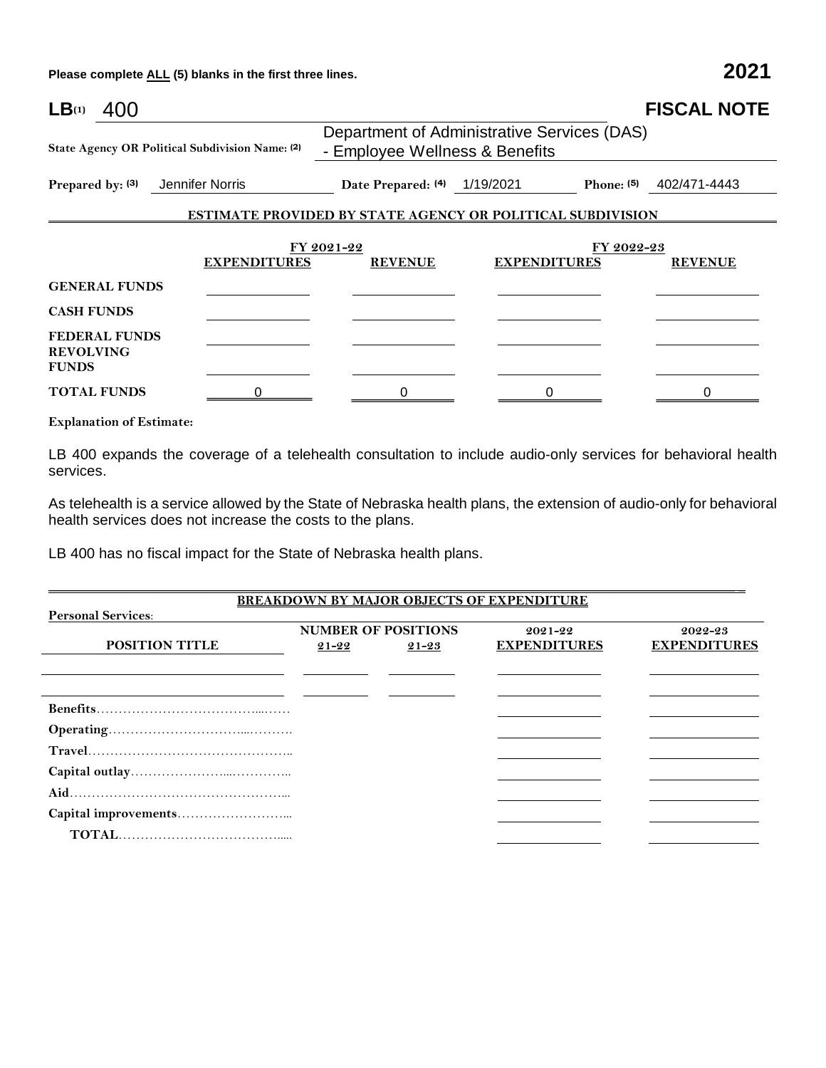**Please complete ALL (5) blanks in the first three lines. 2021**

| LB(1)<br>400                                             |                                                 |                                                                               |                                                                   | <b>FISCAL NOTE</b>        |
|----------------------------------------------------------|-------------------------------------------------|-------------------------------------------------------------------------------|-------------------------------------------------------------------|---------------------------|
|                                                          | State Agency OR Political Subdivision Name: (2) | Department of Administrative Services (DAS)<br>- Employee Wellness & Benefits |                                                                   |                           |
| Prepared by: (3)                                         | Jennifer Norris                                 | Date Prepared: (4) 1/19/2021                                                  |                                                                   | Phone: $(5)$ 402/471-4443 |
|                                                          |                                                 |                                                                               | <b>ESTIMATE PROVIDED BY STATE AGENCY OR POLITICAL SUBDIVISION</b> |                           |
|                                                          | <b>EXPENDITURES</b>                             | FY 2021-22<br><b>REVENUE</b>                                                  | FY 2022-23<br><b>EXPENDITURES</b>                                 | <b>REVENUE</b>            |
| <b>GENERAL FUNDS</b>                                     |                                                 |                                                                               |                                                                   |                           |
| <b>CASH FUNDS</b>                                        |                                                 |                                                                               |                                                                   |                           |
| <b>FEDERAL FUNDS</b><br><b>REVOLVING</b><br><b>FUNDS</b> |                                                 |                                                                               |                                                                   |                           |
| <b>TOTAL FUNDS</b>                                       |                                                 | 0                                                                             |                                                                   |                           |

**Explanation of Estimate:**

LB 400 expands the coverage of a telehealth consultation to include audio-only services for behavioral health services.

As telehealth is a service allowed by the State of Nebraska health plans, the extension of audio-only for behavioral health services does not increase the costs to the plans.

\_\_\_\_\_\_\_\_\_\_\_\_\_\_\_\_\_\_\_\_\_\_\_\_\_\_\_\_\_\_\_\_\_\_\_\_\_\_\_\_\_\_\_\_\_\_\_\_\_\_\_\_\_\_\_\_\_\_\_\_\_\_\_\_\_\_\_\_\_\_\_\_\_\_\_\_\_\_\_\_\_\_\_\_\_\_\_\_\_\_\_\_\_\_\_\_\_\_\_\_\_ \_

LB 400 has no fiscal impact for the State of Nebraska health plans.

|                           |                            |           | <b>BREAKDOWN BY MAJOR OBJECTS OF EXPENDITURE</b> |                     |
|---------------------------|----------------------------|-----------|--------------------------------------------------|---------------------|
| <b>Personal Services:</b> |                            |           |                                                  |                     |
|                           | <b>NUMBER OF POSITIONS</b> |           | 2021-22                                          | 2022-23             |
| POSITION TITLE            | $21 - 22$                  | $21 - 23$ | <b>EXPENDITURES</b>                              | <b>EXPENDITURES</b> |
|                           |                            |           |                                                  |                     |
|                           |                            |           |                                                  |                     |
|                           |                            |           |                                                  |                     |
|                           |                            |           |                                                  |                     |
|                           |                            |           |                                                  |                     |
|                           |                            |           |                                                  |                     |
|                           |                            |           |                                                  |                     |
|                           |                            |           |                                                  |                     |
|                           |                            |           |                                                  |                     |
|                           |                            |           |                                                  |                     |
|                           |                            |           |                                                  |                     |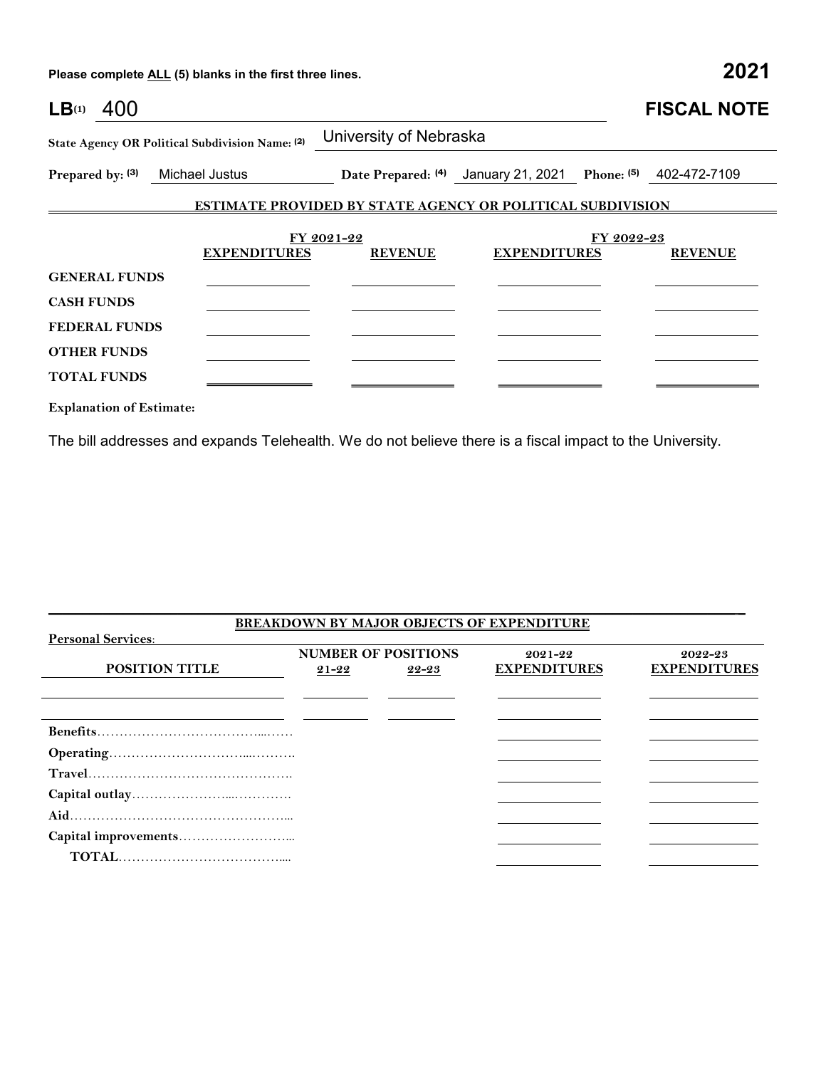**Please complete ALL (5) blanks in the first three lines. 2021**

| LB(1)<br>400                                    |                     |                                                                   |                                                             |            | <b>FISCAL NOTE</b> |
|-------------------------------------------------|---------------------|-------------------------------------------------------------------|-------------------------------------------------------------|------------|--------------------|
| State Agency OR Political Subdivision Name: (2) |                     | University of Nebraska                                            |                                                             |            |                    |
| Prepared by: (3) Michael Justus                 |                     |                                                                   | Date Prepared: (4) January 21, 2021 Phone: (5) 402-472-7109 |            |                    |
|                                                 |                     | <b>ESTIMATE PROVIDED BY STATE AGENCY OR POLITICAL SUBDIVISION</b> |                                                             |            |                    |
|                                                 |                     | FY 2021-22                                                        |                                                             | FY 2022-23 |                    |
|                                                 | <b>EXPENDITURES</b> | <b>REVENUE</b>                                                    | <b>EXPENDITURES</b>                                         |            | <b>REVENUE</b>     |
| <b>GENERAL FUNDS</b>                            |                     |                                                                   |                                                             |            |                    |
| <b>CASH FUNDS</b>                               |                     |                                                                   |                                                             |            |                    |
| <b>FEDERAL FUNDS</b>                            |                     |                                                                   |                                                             |            |                    |
| <b>OTHER FUNDS</b>                              |                     |                                                                   |                                                             |            |                    |
| <b>TOTAL FUNDS</b>                              |                     |                                                                   |                                                             |            |                    |
| <b>Explanation of Estimate:</b>                 |                     |                                                                   |                                                             |            |                    |

The bill addresses and expands Telehealth. We do not believe there is a fiscal impact to the University.

|                           |                            |       | <b>BREAKDOWN BY MAJOR OBJECTS OF EXPENDITURE</b> |                     |
|---------------------------|----------------------------|-------|--------------------------------------------------|---------------------|
| <b>Personal Services:</b> |                            |       |                                                  |                     |
|                           | <b>NUMBER OF POSITIONS</b> |       | 2021-22                                          | 2022-23             |
| <b>POSITION TITLE</b>     | $21 - 22$                  | 22-23 | <b>EXPENDITURES</b>                              | <b>EXPENDITURES</b> |
|                           |                            |       |                                                  |                     |
|                           |                            |       |                                                  |                     |
|                           |                            |       |                                                  |                     |
|                           |                            |       |                                                  |                     |
|                           |                            |       |                                                  |                     |
|                           |                            |       |                                                  |                     |
|                           |                            |       |                                                  |                     |
|                           |                            |       |                                                  |                     |
|                           |                            |       |                                                  |                     |
|                           |                            |       |                                                  |                     |
|                           |                            |       |                                                  |                     |

\_\_\_\_\_\_\_\_\_\_\_\_\_\_\_\_\_\_\_\_\_\_\_\_\_\_\_\_\_\_\_\_\_\_\_\_\_\_\_\_\_\_\_\_\_\_\_\_\_\_\_\_\_\_\_\_\_\_\_\_\_\_\_\_\_\_\_\_\_\_\_\_\_\_\_\_\_\_\_\_\_\_\_\_\_\_\_\_\_\_\_\_\_\_\_\_\_\_\_\_\_ \_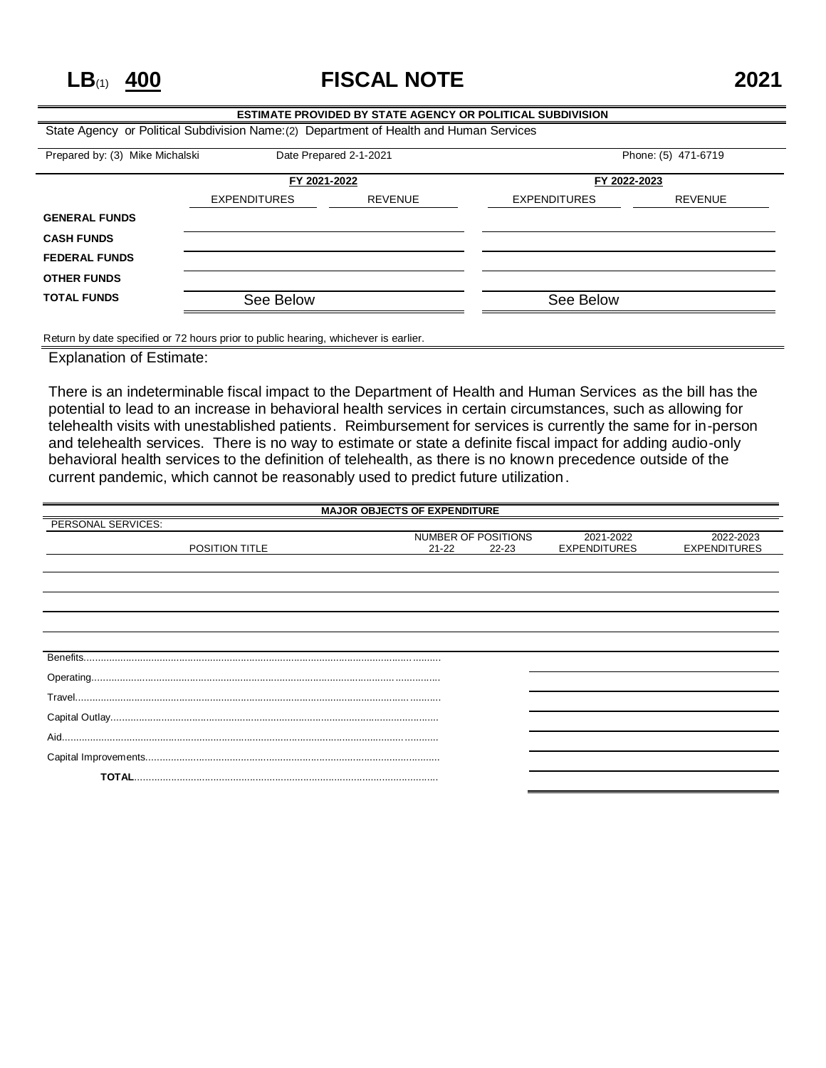**LB**(1) **400 FISCAL NOTE 2021**

### **ESTIMATE PROVIDED BY STATE AGENCY OR POLITICAL SUBDIVISION** State Agency or Political Subdivision Name:(2) Department of Health and Human Services Prepared by: (3) Mike Michalski Date Prepared 2-1-2021 Phone: (5) 471-6719 **FY 2021-2022 FY 2022-2023** EXPENDITURES REVENUE EXPENDITURES REVENUE **GENERAL FUNDS CASH FUNDS FEDERAL FUNDS OTHER FUNDS TOTAL FUNDS** See Below See Below See Below

Return by date specified or 72 hours prior to public hearing, whichever is earlier.

Explanation of Estimate:

There is an indeterminable fiscal impact to the Department of Health and Human Services as the bill has the potential to lead to an increase in behavioral health services in certain circumstances, such as allowing for telehealth visits with unestablished patients. Reimbursement for services is currently the same for in-person and telehealth services. There is no way to estimate or state a definite fiscal impact for adding audio-only behavioral health services to the definition of telehealth, as there is no known precedence outside of the current pandemic, which cannot be reasonably used to predict future utilization.

|                    | <b>MAJOR OBJECTS OF EXPENDITURE</b>           |                                  |                                  |
|--------------------|-----------------------------------------------|----------------------------------|----------------------------------|
| PERSONAL SERVICES: |                                               |                                  |                                  |
| POSITION TITLE     | NUMBER OF POSITIONS<br>$21 - 22$<br>$22 - 23$ | 2021-2022<br><b>EXPENDITURES</b> | 2022-2023<br><b>EXPENDITURES</b> |
|                    |                                               |                                  |                                  |
|                    |                                               |                                  |                                  |
|                    |                                               |                                  |                                  |
|                    |                                               |                                  |                                  |
|                    |                                               |                                  |                                  |
|                    |                                               |                                  |                                  |
|                    |                                               |                                  |                                  |
|                    |                                               |                                  |                                  |
|                    |                                               |                                  |                                  |
| Aid.               |                                               |                                  |                                  |
|                    |                                               |                                  |                                  |
|                    |                                               |                                  |                                  |